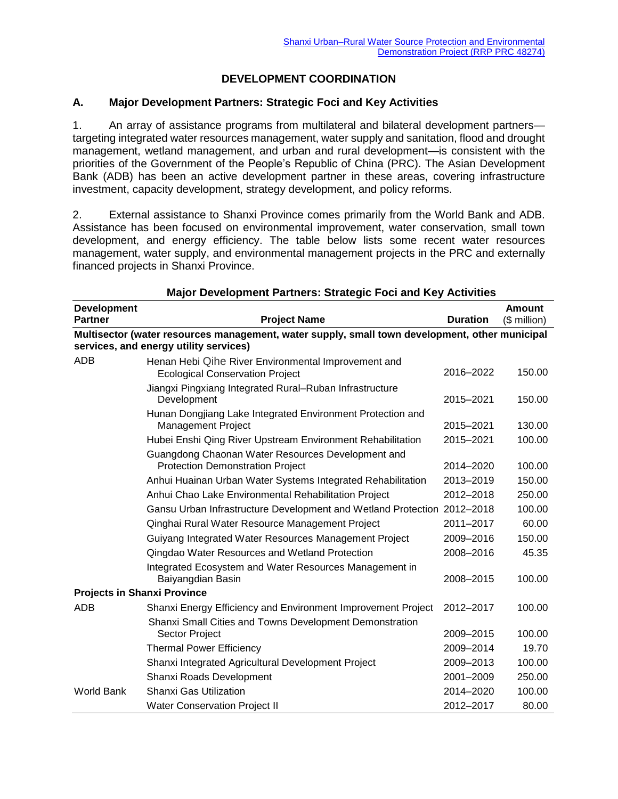# **DEVELOPMENT COORDINATION**

### **A. Major Development Partners: Strategic Foci and Key Activities**

1. An array of assistance programs from multilateral and bilateral development partners targeting integrated water resources management, water supply and sanitation, flood and drought management, wetland management, and urban and rural development—is consistent with the priorities of the Government of the People's Republic of China (PRC). The Asian Development Bank (ADB) has been an active development partner in these areas, covering infrastructure investment, capacity development, strategy development, and policy reforms.

2. External assistance to Shanxi Province comes primarily from the World Bank and ADB. Assistance has been focused on environmental improvement, water conservation, small town development, and energy efficiency. The table below lists some recent water resources management, water supply, and environmental management projects in the PRC and externally financed projects in Shanxi Province.

| <b>Development</b>                                                                             |                                                                                               |                 | Amount       |  |  |
|------------------------------------------------------------------------------------------------|-----------------------------------------------------------------------------------------------|-----------------|--------------|--|--|
| <b>Partner</b>                                                                                 | <b>Project Name</b>                                                                           | <b>Duration</b> | $$$ million) |  |  |
| Multisector (water resources management, water supply, small town development, other municipal |                                                                                               |                 |              |  |  |
|                                                                                                | services, and energy utility services)                                                        |                 |              |  |  |
| ADB                                                                                            | Henan Hebi Qihe River Environmental Improvement and<br><b>Ecological Conservation Project</b> | 2016-2022       | 150.00       |  |  |
|                                                                                                | Jiangxi Pingxiang Integrated Rural-Ruban Infrastructure<br>Development                        | 2015-2021       | 150.00       |  |  |
|                                                                                                | Hunan Dongjiang Lake Integrated Environment Protection and<br><b>Management Project</b>       | 2015-2021       | 130.00       |  |  |
|                                                                                                | Hubei Enshi Qing River Upstream Environment Rehabilitation                                    | 2015-2021       | 100.00       |  |  |
|                                                                                                | Guangdong Chaonan Water Resources Development and<br><b>Protection Demonstration Project</b>  | 2014-2020       | 100.00       |  |  |
|                                                                                                | Anhui Huainan Urban Water Systems Integrated Rehabilitation                                   | 2013-2019       | 150.00       |  |  |
|                                                                                                | Anhui Chao Lake Environmental Rehabilitation Project                                          | 2012-2018       | 250.00       |  |  |
|                                                                                                | Gansu Urban Infrastructure Development and Wetland Protection                                 | 2012-2018       | 100.00       |  |  |
|                                                                                                | Qinghai Rural Water Resource Management Project                                               | 2011-2017       | 60.00        |  |  |
|                                                                                                | Guiyang Integrated Water Resources Management Project                                         | 2009-2016       | 150.00       |  |  |
|                                                                                                | Qingdao Water Resources and Wetland Protection                                                | 2008-2016       | 45.35        |  |  |
|                                                                                                | Integrated Ecosystem and Water Resources Management in<br>Baiyangdian Basin                   | 2008-2015       | 100.00       |  |  |
| <b>Projects in Shanxi Province</b>                                                             |                                                                                               |                 |              |  |  |
| ADB                                                                                            | Shanxi Energy Efficiency and Environment Improvement Project                                  | 2012-2017       | 100.00       |  |  |
|                                                                                                | Shanxi Small Cities and Towns Development Demonstration<br>Sector Project                     | 2009-2015       | 100.00       |  |  |
|                                                                                                | <b>Thermal Power Efficiency</b>                                                               | 2009-2014       | 19.70        |  |  |
|                                                                                                | Shanxi Integrated Agricultural Development Project                                            | 2009-2013       | 100.00       |  |  |
|                                                                                                | Shanxi Roads Development                                                                      | 2001-2009       | 250.00       |  |  |
| <b>World Bank</b>                                                                              | Shanxi Gas Utilization                                                                        | 2014-2020       | 100.00       |  |  |
|                                                                                                | <b>Water Conservation Project II</b>                                                          | 2012-2017       | 80.00        |  |  |

#### **Major Development Partners: Strategic Foci and Key Activities**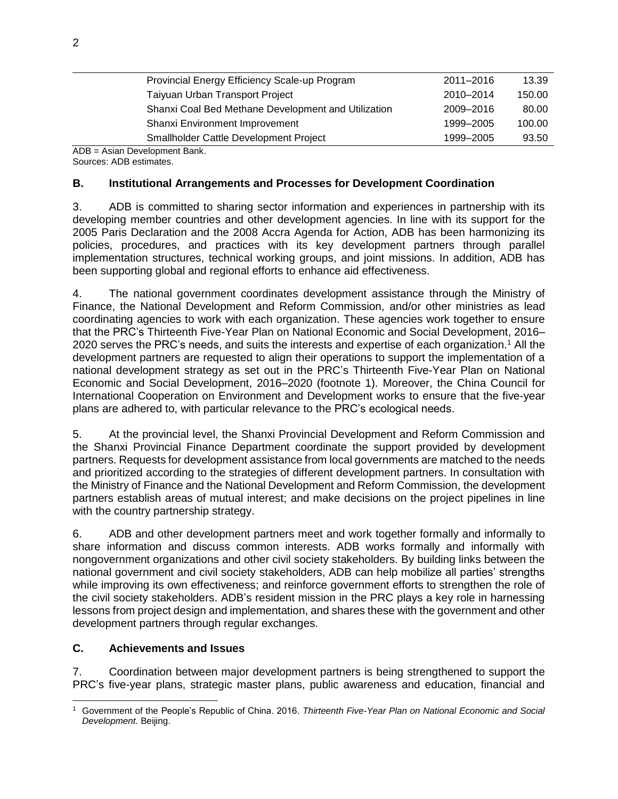| Provincial Energy Efficiency Scale-up Program       | 2011-2016 | 13.39  |
|-----------------------------------------------------|-----------|--------|
| Taiyuan Urban Transport Project                     | 2010-2014 | 150.00 |
| Shanxi Coal Bed Methane Development and Utilization | 2009-2016 | 80.00  |
| Shanxi Environment Improvement                      | 1999-2005 | 100.00 |
| <b>Smallholder Cattle Development Project</b>       | 1999-2005 | 93.50  |

ADB = Asian Development Bank. Sources: ADB estimates.

### **B. Institutional Arrangements and Processes for Development Coordination**

3. ADB is committed to sharing sector information and experiences in partnership with its developing member countries and other development agencies. In line with its support for the 2005 Paris Declaration and the 2008 Accra Agenda for Action, ADB has been harmonizing its policies, procedures, and practices with its key development partners through parallel implementation structures, technical working groups, and joint missions. In addition, ADB has been supporting global and regional efforts to enhance aid effectiveness.

4. The national government coordinates development assistance through the Ministry of Finance, the National Development and Reform Commission, and/or other ministries as lead coordinating agencies to work with each organization. These agencies work together to ensure that the PRC's Thirteenth Five-Year Plan on National Economic and Social Development, 2016– 2020 serves the PRC's needs, and suits the interests and expertise of each organization.<sup>1</sup> All the development partners are requested to align their operations to support the implementation of a national development strategy as set out in the PRC's Thirteenth Five-Year Plan on National Economic and Social Development, 2016–2020 (footnote 1). Moreover, the China Council for International Cooperation on Environment and Development works to ensure that the five-year plans are adhered to, with particular relevance to the PRC's ecological needs.

5. At the provincial level, the Shanxi Provincial Development and Reform Commission and the Shanxi Provincial Finance Department coordinate the support provided by development partners. Requests for development assistance from local governments are matched to the needs and prioritized according to the strategies of different development partners. In consultation with the Ministry of Finance and the National Development and Reform Commission, the development partners establish areas of mutual interest; and make decisions on the project pipelines in line with the country partnership strategy.

6. ADB and other development partners meet and work together formally and informally to share information and discuss common interests. ADB works formally and informally with nongovernment organizations and other civil society stakeholders. By building links between the national government and civil society stakeholders, ADB can help mobilize all parties' strengths while improving its own effectiveness; and reinforce government efforts to strengthen the role of the civil society stakeholders. ADB's resident mission in the PRC plays a key role in harnessing lessons from project design and implementation, and shares these with the government and other development partners through regular exchanges.

## **C. Achievements and Issues**

7. Coordination between major development partners is being strengthened to support the PRC's five-year plans, strategic master plans, public awareness and education, financial and

 $\overline{a}$ <sup>1</sup> Government of the People's Republic of China. 2016. *Thirteenth Five-Year Plan on National Economic and Social Development.* Beijing.